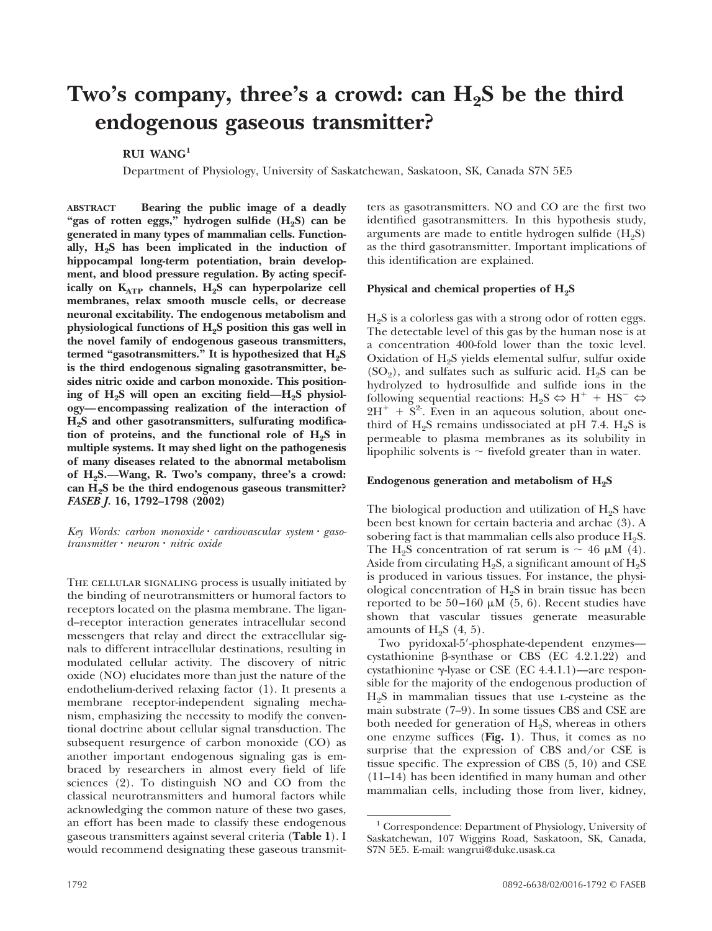# Two's company, three's a crowd: can H<sub>2</sub>S be the third **endogenous gaseous transmitter?**

**RUI WANG1**

Department of Physiology, University of Saskatchewan, Saskatoon, SK, Canada S7N 5E5

**ABSTRACT Bearing the public image of a deadly** "gas of rotten eggs," hydrogen sulfide (H<sub>2</sub>S) can be **generated in many types of mammalian cells. Function**ally, H<sub>2</sub>S has been implicated in the induction of **hippocampal long-term potentiation, brain development, and blood pressure regulation. By acting specif**ically on K<sub>ATP</sub> channels, H<sub>2</sub>S can hyperpolarize cell **membranes, relax smooth muscle cells, or decrease neuronal excitability. The endogenous metabolism and physiological functions of H2S position this gas well in the novel family of endogenous gaseous transmitters,** termed "gasotransmitters." It is hypothesized that H<sub>2</sub>S **is the third endogenous signaling gasotransmitter, besides nitric oxide and carbon monoxide. This position**ing of H<sub>2</sub>S will open an exciting field—H<sub>2</sub>S physiol**ogy—encompassing realization of the interaction of H2S and other gasotransmitters, sulfurating modifica**tion of proteins, and the functional role of H<sub>2</sub>S in **multiple systems. It may shed light on the pathogenesis of many diseases related to the abnormal metabolism of H2S.—Wang, R. Two's company, three's a crowd: can H2S be the third endogenous gaseous transmitter?** *FASEB J.* **16, 1792–1798 (2002)**

*Key Words: carbon monoxide cardiovascular system gasotransmitter neuron nitric oxide*

The cellular signaling process is usually initiated by the binding of neurotransmitters or humoral factors to receptors located on the plasma membrane. The ligand–receptor interaction generates intracellular second messengers that relay and direct the extracellular signals to different intracellular destinations, resulting in modulated cellular activity. The discovery of nitric oxide (NO) elucidates more than just the nature of the endothelium-derived relaxing factor (1). It presents a membrane receptor-independent signaling mechanism, emphasizing the necessity to modify the conventional doctrine about cellular signal transduction. The subsequent resurgence of carbon monoxide (CO) as another important endogenous signaling gas is embraced by researchers in almost every field of life sciences (2). To distinguish NO and CO from the classical neurotransmitters and humoral factors while acknowledging the common nature of these two gases, an effort has been made to classify these endogenous gaseous transmitters against several criteria (**Table 1**). I would recommend designating these gaseous transmitters as gasotransmitters. NO and CO are the first two identified gasotransmitters. In this hypothesis study, arguments are made to entitle hydrogen sulfide  $(H_2S)$ as the third gasotransmitter. Important implications of this identification are explained.

## Physical and chemical properties of H<sub>2</sub>S

 $H<sub>2</sub>S$  is a colorless gas with a strong odor of rotten eggs. The detectable level of this gas by the human nose is at a concentration 400-fold lower than the toxic level. Oxidation of  $H_2S$  yields elemental sulfur, sulfur oxide  $(SO<sub>2</sub>)$ , and sulfates such as sulfuric acid. H<sub>2</sub>S can be hydrolyzed to hydrosulfide and sulfide ions in the following sequential reactions:  $H_2S \Leftrightarrow H^+ + HS^- \Leftrightarrow$  $2H^+ + S^2$ . Even in an aqueous solution, about onethird of  $H_2S$  remains undissociated at pH 7.4.  $H_2S$  is permeable to plasma membranes as its solubility in lipophilic solvents is  $\sim$  fivefold greater than in water.

## **Endogenous generation and metabolism of H2S**

The biological production and utilization of  $H_2S$  have been best known for certain bacteria and archae (3). A sobering fact is that mammalian cells also produce  $H_2S$ . The H<sub>2</sub>S concentration of rat serum is  $\sim 46 \mu M$  (4). Aside from circulating  $H_2S$ , a significant amount of  $H_2S$ is produced in various tissues. For instance, the physiological concentration of  $H<sub>2</sub>S$  in brain tissue has been reported to be  $50-160 \mu M$  (5, 6). Recent studies have shown that vascular tissues generate measurable amounts of  $H_2S$  (4, 5).

Two pyridoxal-5'-phosphate-dependent enzymes cystathionine  $\beta$ -synthase or CBS (EC 4.2.1.22) and cystathionine  $\gamma$ -lyase or CSE (EC 4.4.1.1)—are responsible for the majority of the endogenous production of  $H<sub>2</sub>S$  in mammalian tissues that use *L*-cysteine as the main substrate (7–9). In some tissues CBS and CSE are both needed for generation of  $H_2S$ , whereas in others one enzyme suffices (**Fig. 1**). Thus, it comes as no surprise that the expression of CBS and/or CSE is tissue specific. The expression of CBS (5, 10) and CSE (11–14) has been identified in many human and other mammalian cells, including those from liver, kidney,

<sup>1</sup> Correspondence: Department of Physiology, University of Saskatchewan, 107 Wiggins Road, Saskatoon, SK, Canada, S7N 5E5. E-mail: wangrui@duke.usask.ca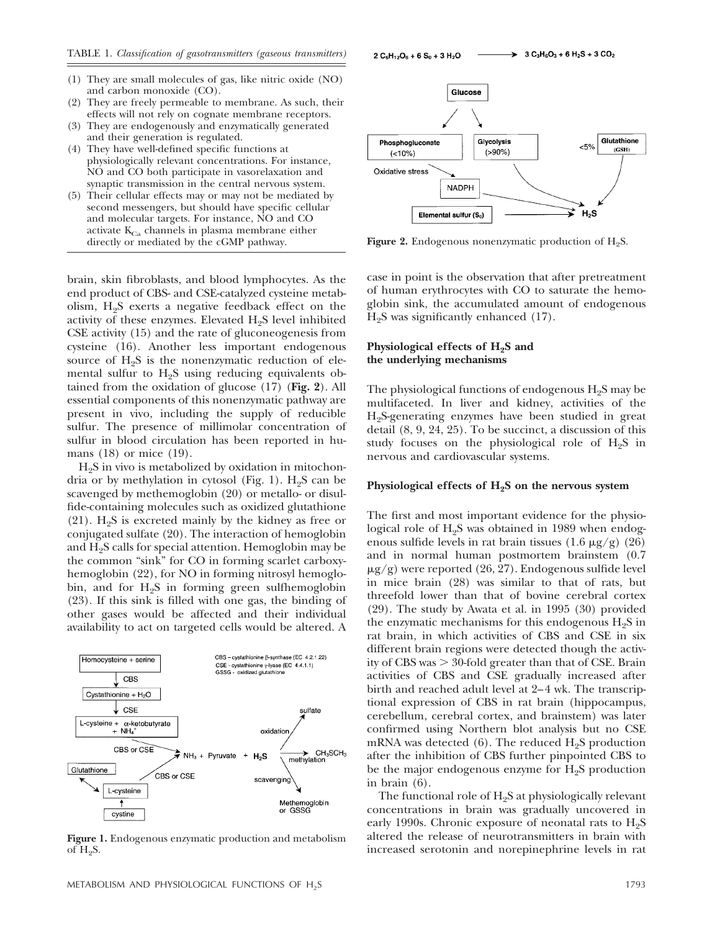- (1) They are small molecules of gas, like nitric oxide (NO) and carbon monoxide (CO).
- (2) They are freely permeable to membrane. As such, their effects will not rely on cognate membrane receptors.
- (3) They are endogenously and enzymatically generated and their generation is regulated.
- (4) They have well-defined specific functions at physiologically relevant concentrations. For instance, NO and CO both participate in vasorelaxation and synaptic transmission in the central nervous system.
- (5) Their cellular effects may or may not be mediated by second messengers, but should have specific cellular and molecular targets. For instance, NO and CO activate  $K_{Ca}$  channels in plasma membrane either directly or mediated by the cGMP pathway.

brain, skin fibroblasts, and blood lymphocytes. As the end product of CBS- and CSE-catalyzed cysteine metabolism,  $H<sub>9</sub>S$  exerts a negative feedback effect on the activity of these enzymes. Elevated  $H_2S$  level inhibited CSE activity (15) and the rate of gluconeogenesis from cysteine (16). Another less important endogenous source of  $H_2S$  is the nonenzymatic reduction of elemental sulfur to  $H_2S$  using reducing equivalents obtained from the oxidation of glucose (17) (**Fig. 2**). All essential components of this nonenzymatic pathway are present in vivo, including the supply of reducible sulfur. The presence of millimolar concentration of sulfur in blood circulation has been reported in humans (18) or mice (19).

 $H<sub>2</sub>S$  in vivo is metabolized by oxidation in mitochondria or by methylation in cytosol (Fig. 1).  $H<sub>2</sub>S$  can be scavenged by methemoglobin (20) or metallo- or disulfide-containing molecules such as oxidized glutathione (21).  $H_2S$  is excreted mainly by the kidney as free or conjugated sulfate (20). The interaction of hemoglobin and  $H<sub>2</sub>S$  calls for special attention. Hemoglobin may be the common "sink" for CO in forming scarlet carboxyhemoglobin (22), for NO in forming nitrosyl hemoglobin, and for  $H_2S$  in forming green sulfhemoglobin (23). If this sink is filled with one gas, the binding of other gases would be affected and their individual availability to act on targeted cells would be altered. A



**Figure 1.** Endogenous enzymatic production and metabolism of  $H_2S$ .



**Figure 2.** Endogenous nonenzymatic production of  $H_2S$ .

case in point is the observation that after pretreatment of human erythrocytes with CO to saturate the hemoglobin sink, the accumulated amount of endogenous  $H<sub>9</sub>S$  was significantly enhanced (17).

## **Physiological effects of H2S and the underlying mechanisms**

The physiological functions of endogenous  $H<sub>2</sub>S$  may be multifaceted. In liver and kidney, activities of the H2S-generating enzymes have been studied in great detail (8, 9, 24, 25). To be succinct, a discussion of this study focuses on the physiological role of  $H<sub>2</sub>S$  in nervous and cardiovascular systems.

#### Physiological effects of  $H_2S$  on the nervous system

The first and most important evidence for the physiological role of H<sub>2</sub>S was obtained in 1989 when endogenous sulfide levels in rat brain tissues  $(1.6 \mu g/g)$  (26) and in normal human postmortem brainstem (0.7  $\mu$ g/g) were reported (26, 27). Endogenous sulfide level in mice brain (28) was similar to that of rats, but threefold lower than that of bovine cerebral cortex (29). The study by Awata et al. in 1995 (30) provided the enzymatic mechanisms for this endogenous  $H_2S$  in rat brain, in which activities of CBS and CSE in six different brain regions were detected though the activity of CBS was  $> 30$ -fold greater than that of CSE. Brain activities of CBS and CSE gradually increased after birth and reached adult level at 2–4 wk. The transcriptional expression of CBS in rat brain (hippocampus, cerebellum, cerebral cortex, and brainstem) was later confirmed using Northern blot analysis but no CSE mRNA was detected  $(6)$ . The reduced  $H<sub>9</sub>S$  production after the inhibition of CBS further pinpointed CBS to be the major endogenous enzyme for  $H<sub>2</sub>S$  production in brain (6).

The functional role of  $H_2S$  at physiologically relevant concentrations in brain was gradually uncovered in early 1990s. Chronic exposure of neonatal rats to  $H_2S$ altered the release of neurotransmitters in brain with increased serotonin and norepinephrine levels in rat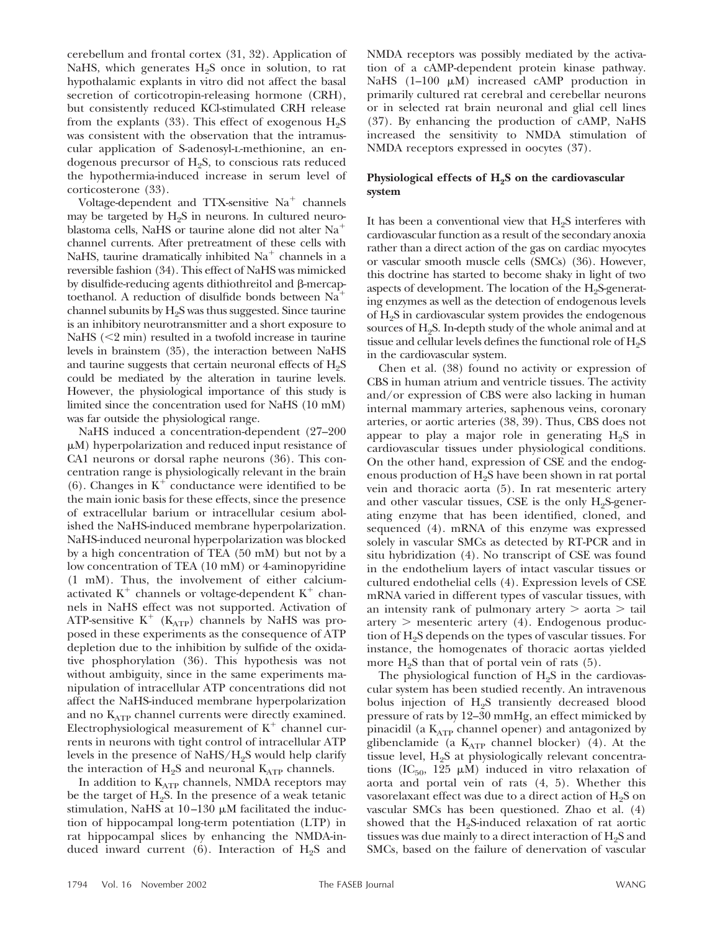cerebellum and frontal cortex (31, 32). Application of NaHS, which generates  $H_2S$  once in solution, to rat hypothalamic explants in vitro did not affect the basal secretion of corticotropin-releasing hormone (CRH), but consistently reduced KCl-stimulated CRH release from the explants (33). This effect of exogenous  $H_2S$ was consistent with the observation that the intramuscular application of S-adenosyl-l-methionine, an endogenous precursor of  $H_2S$ , to conscious rats reduced the hypothermia-induced increase in serum level of corticosterone (33).

Voltage-dependent and TTX-sensitive  $Na<sup>+</sup>$  channels may be targeted by  $H_2S$  in neurons. In cultured neuroblastoma cells, NaHS or taurine alone did not alter Na channel currents. After pretreatment of these cells with NaHS, taurine dramatically inhibited  $Na<sup>+</sup>$  channels in a reversible fashion (34). This effect of NaHS was mimicked by disulfide-reducing agents dithiothreitol and  $\beta$ -mercaptoethanol. A reduction of disulfide bonds between Na channel subunits by  $H_2S$  was thus suggested. Since taurine is an inhibitory neurotransmitter and a short exposure to NaHS  $\leq$  min) resulted in a twofold increase in taurine levels in brainstem (35), the interaction between NaHS and taurine suggests that certain neuronal effects of  $H_2S$ could be mediated by the alteration in taurine levels. However, the physiological importance of this study is limited since the concentration used for NaHS (10 mM) was far outside the physiological range.

NaHS induced a concentration-dependent (27–200  $\mu$ M) hyperpolarization and reduced input resistance of CA1 neurons or dorsal raphe neurons (36). This concentration range is physiologically relevant in the brain  $(6)$ . Changes in  $K^+$  conductance were identified to be the main ionic basis for these effects, since the presence of extracellular barium or intracellular cesium abolished the NaHS-induced membrane hyperpolarization. NaHS-induced neuronal hyperpolarization was blocked by a high concentration of TEA (50 mM) but not by a low concentration of TEA (10 mM) or 4-aminopyridine (1 mM). Thus, the involvement of either calciumactivated  $K^+$  channels or voltage-dependent  $K^+$  channels in NaHS effect was not supported. Activation of ATP-sensitive  $K^+$  ( $K_{ATP}$ ) channels by NaHS was proposed in these experiments as the consequence of ATP depletion due to the inhibition by sulfide of the oxidative phosphorylation (36). This hypothesis was not without ambiguity, since in the same experiments manipulation of intracellular ATP concentrations did not affect the NaHS-induced membrane hyperpolarization and no  $K_{ATP}$  channel currents were directly examined. Electrophysiological measurement of  $K^+$  channel currents in neurons with tight control of intracellular ATP levels in the presence of NaHS/H2S would help clarify the interaction of  $H_2S$  and neuronal  $K_{ATP}$  channels.

In addition to KATP channels, NMDA receptors may be the target of  $H_2S$ . In the presence of a weak tetanic stimulation, NaHS at  $10-130 \mu M$  facilitated the induction of hippocampal long-term potentiation (LTP) in rat hippocampal slices by enhancing the NMDA-induced inward current (6). Interaction of  $H_2S$  and NMDA receptors was possibly mediated by the activation of a cAMP-dependent protein kinase pathway. NaHS  $(1-100 \mu M)$  increased cAMP production in primarily cultured rat cerebral and cerebellar neurons or in selected rat brain neuronal and glial cell lines (37). By enhancing the production of cAMP, NaHS increased the sensitivity to NMDA stimulation of NMDA receptors expressed in oocytes (37).

## Physiological effects of H<sub>2</sub>S on the cardiovascular **system**

It has been a conventional view that  $H_2S$  interferes with cardiovascular function as a result of the secondary anoxia rather than a direct action of the gas on cardiac myocytes or vascular smooth muscle cells (SMCs) (36). However, this doctrine has started to become shaky in light of two aspects of development. The location of the  $H<sub>2</sub>S-<sub>2</sub>$ generating enzymes as well as the detection of endogenous levels of  $H<sub>2</sub>S$  in cardiovascular system provides the endogenous sources of H<sub>2</sub>S. In-depth study of the whole animal and at tissue and cellular levels defines the functional role of  $H_2S$ in the cardiovascular system.

Chen et al. (38) found no activity or expression of CBS in human atrium and ventricle tissues. The activity and/or expression of CBS were also lacking in human internal mammary arteries, saphenous veins, coronary arteries, or aortic arteries (38, 39). Thus, CBS does not appear to play a major role in generating  $H_2S$  in cardiovascular tissues under physiological conditions. On the other hand, expression of CSE and the endogenous production of  $H_2S$  have been shown in rat portal vein and thoracic aorta (5). In rat mesenteric artery and other vascular tissues, CSE is the only  $H_2S_2$  generating enzyme that has been identified, cloned, and sequenced (4). mRNA of this enzyme was expressed solely in vascular SMCs as detected by RT-PCR and in situ hybridization (4). No transcript of CSE was found in the endothelium layers of intact vascular tissues or cultured endothelial cells (4). Expression levels of CSE mRNA varied in different types of vascular tissues, with an intensity rank of pulmonary artery  $>$  aorta  $>$  tail  $artery$  > mesenteric artery (4). Endogenous production of H2S depends on the types of vascular tissues. For instance, the homogenates of thoracic aortas yielded more  $H_9S$  than that of portal vein of rats  $(5)$ .

The physiological function of  $H<sub>9</sub>S$  in the cardiovascular system has been studied recently. An intravenous bolus injection of  $H_2S$  transiently decreased blood pressure of rats by 12–30 mmHg, an effect mimicked by pinacidil (a  $K_{ATP}$  channel opener) and antagonized by glibenclamide (a  $K_{ATP}$  channel blocker) (4). At the tissue level,  $H_2S$  at physiologically relevant concentrations (IC<sub>50</sub>, 125  $\mu$ M) induced in vitro relaxation of aorta and portal vein of rats (4, 5). Whether this vasorelaxant effect was due to a direct action of H<sub>2</sub>S on vascular SMCs has been questioned. Zhao et al. (4) showed that the  $H<sub>9</sub>S$ -induced relaxation of rat aortic tissues was due mainly to a direct interaction of  $H_2S$  and SMCs, based on the failure of denervation of vascular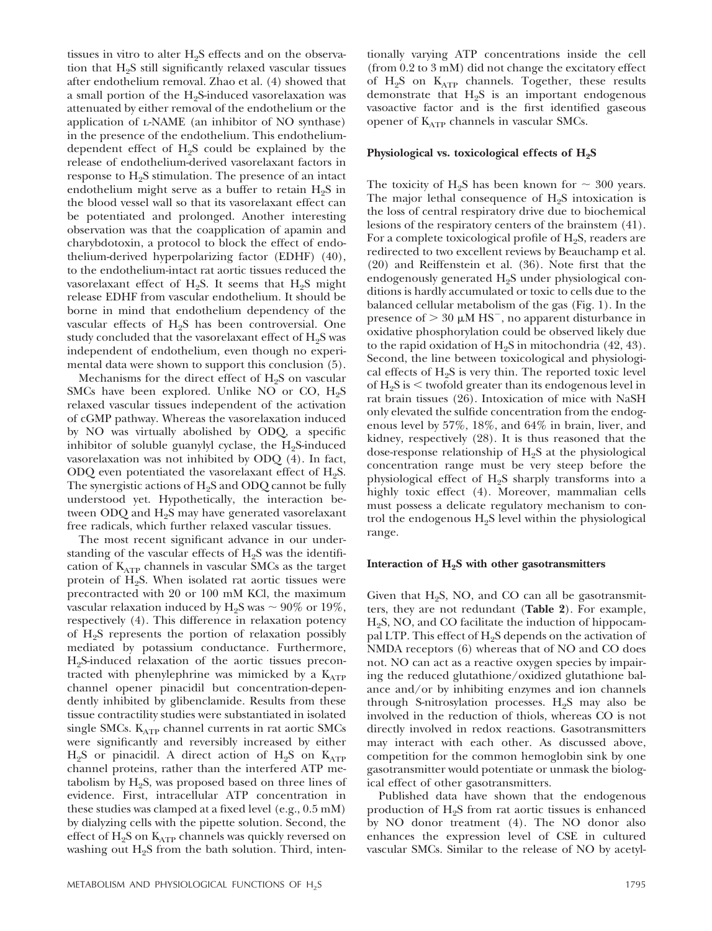tissues in vitro to alter  $H_2S$  effects and on the observation that  $H_2S$  still significantly relaxed vascular tissues after endothelium removal. Zhao et al. (4) showed that a small portion of the  $H_2S$ -induced vasorelaxation was attenuated by either removal of the endothelium or the application of l-NAME (an inhibitor of NO synthase) in the presence of the endothelium. This endotheliumdependent effect of  $H_2S$  could be explained by the release of endothelium-derived vasorelaxant factors in response to  $H_2S$  stimulation. The presence of an intact endothelium might serve as a buffer to retain  $H_2S$  in the blood vessel wall so that its vasorelaxant effect can be potentiated and prolonged. Another interesting observation was that the coapplication of apamin and charybdotoxin, a protocol to block the effect of endothelium-derived hyperpolarizing factor (EDHF) (40), to the endothelium-intact rat aortic tissues reduced the vasorelaxant effect of H<sub>2</sub>S. It seems that H<sub>2</sub>S might release EDHF from vascular endothelium. It should be borne in mind that endothelium dependency of the vascular effects of  $H_2S$  has been controversial. One study concluded that the vasorelaxant effect of  $H_2S$  was independent of endothelium, even though no experimental data were shown to support this conclusion (5).

Mechanisms for the direct effect of  $H_2S$  on vascular SMCs have been explored. Unlike NO or CO,  $H_2S$ relaxed vascular tissues independent of the activation of cGMP pathway. Whereas the vasorelaxation induced by NO was virtually abolished by ODQ, a specific inhibitor of soluble guanylyl cyclase, the  $H_2S$ -induced vasorelaxation was not inhibited by ODQ (4). In fact, ODQ even potentiated the vasorelaxant effect of  $H_2S$ . The synergistic actions of  $H_2S$  and ODQ cannot be fully understood yet. Hypothetically, the interaction between ODQ and  $H<sub>2</sub>S$  may have generated vasorelaxant free radicals, which further relaxed vascular tissues.

The most recent significant advance in our understanding of the vascular effects of  $H_2S$  was the identification of  $K_{ATP}$  channels in vascular SMCs as the target protein of  $H_2S$ . When isolated rat aortic tissues were precontracted with 20 or 100 mM KCl, the maximum vascular relaxation induced by H<sub>2</sub>S was  $\sim 90\%$  or 19%, respectively (4). This difference in relaxation potency of  $H_2S$  represents the portion of relaxation possibly mediated by potassium conductance. Furthermore,  $H<sub>2</sub>S$ -induced relaxation of the aortic tissues precontracted with phenylephrine was mimicked by a  $K_{ATP}$ channel opener pinacidil but concentration-dependently inhibited by glibenclamide. Results from these tissue contractility studies were substantiated in isolated single SMCs.  $K_{ATP}$  channel currents in rat aortic SMCs were significantly and reversibly increased by either  $H_2S$  or pinacidil. A direct action of  $H_2S$  on  $K_{ATP}$ channel proteins, rather than the interfered ATP metabolism by  $H_2S$ , was proposed based on three lines of evidence. First, intracellular ATP concentration in these studies was clamped at a fixed level (e.g., 0.5 mM) by dialyzing cells with the pipette solution. Second, the effect of  $H_2S$  on  $K_{ATP}$  channels was quickly reversed on washing out  $H_2S$  from the bath solution. Third, intentionally varying ATP concentrations inside the cell (from 0.2 to 3 mM) did not change the excitatory effect of  $H_2S$  on  $K_{ATP}$  channels. Together, these results demonstrate that  $H<sub>2</sub>S$  is an important endogenous vasoactive factor and is the first identified gaseous opener of  $K_{ATP}$  channels in vascular SMCs.

## **Physiological vs. toxicological effects of H2S**

The toxicity of H<sub>2</sub>S has been known for  $\sim$  300 years. The major lethal consequence of  $H_2S$  intoxication is the loss of central respiratory drive due to biochemical lesions of the respiratory centers of the brainstem (41). For a complete toxicological profile of  $H<sub>2</sub>S$ , readers are redirected to two excellent reviews by Beauchamp et al. (20) and Reiffenstein et al. (36). Note first that the endogenously generated H<sub>2</sub>S under physiological conditions is hardly accumulated or toxic to cells due to the balanced cellular metabolism of the gas (Fig. 1). In the presence of  $> 30 \mu M$  HS<sup>-</sup>, no apparent disturbance in oxidative phosphorylation could be observed likely due to the rapid oxidation of  $H_2S$  in mitochondria (42, 43). Second, the line between toxicological and physiological effects of  $H<sub>9</sub>S$  is very thin. The reported toxic level of  $H_2S$  is  $\leq$  twofold greater than its endogenous level in rat brain tissues (26). Intoxication of mice with NaSH only elevated the sulfide concentration from the endogenous level by 57%, 18%, and 64% in brain, liver, and kidney, respectively (28). It is thus reasoned that the dose-response relationship of  $H_2S$  at the physiological concentration range must be very steep before the physiological effect of  $H_2S$  sharply transforms into a highly toxic effect (4). Moreover, mammalian cells must possess a delicate regulatory mechanism to control the endogenous  $H<sub>2</sub>S$  level within the physiological range.

#### Interaction of H<sub>2</sub>S with other gasotransmitters

Given that  $H_9S$ , NO, and CO can all be gasotransmitters, they are not redundant (**Table 2**). For example,  $H<sub>2</sub>S$ , NO, and CO facilitate the induction of hippocampal LTP. This effect of  $H_2S$  depends on the activation of NMDA receptors (6) whereas that of NO and CO does not. NO can act as a reactive oxygen species by impairing the reduced glutathione/oxidized glutathione balance and/or by inhibiting enzymes and ion channels through S-nitrosylation processes.  $H_2S$  may also be involved in the reduction of thiols, whereas CO is not directly involved in redox reactions. Gasotransmitters may interact with each other. As discussed above, competition for the common hemoglobin sink by one gasotransmitter would potentiate or unmask the biological effect of other gasotransmitters.

Published data have shown that the endogenous production of  $H_2S$  from rat aortic tissues is enhanced by NO donor treatment (4). The NO donor also enhances the expression level of CSE in cultured vascular SMCs. Similar to the release of NO by acetyl-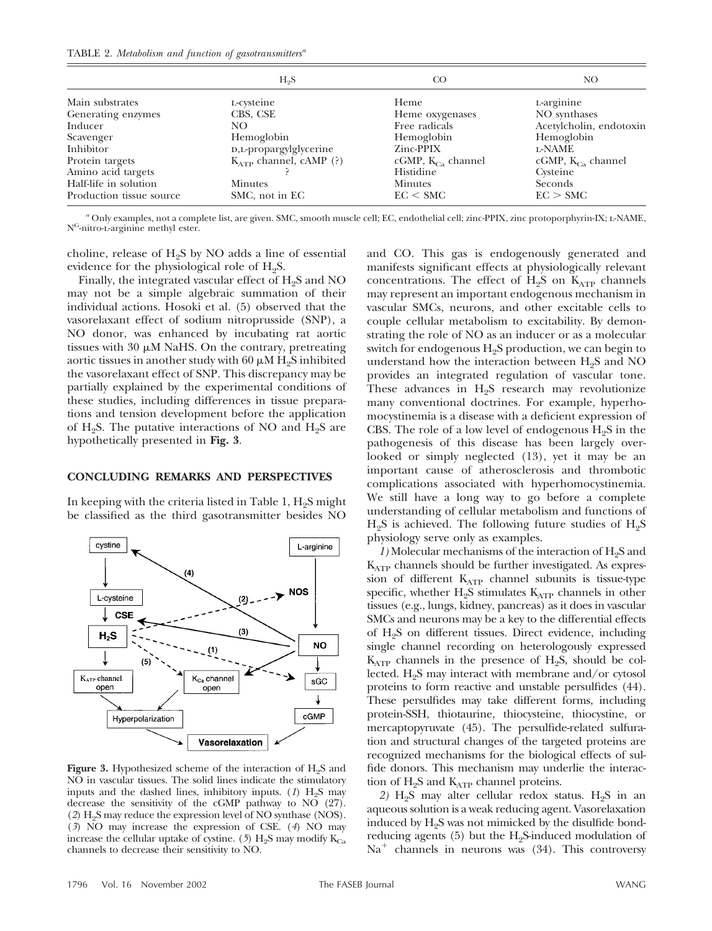|                          | H <sub>9</sub> S            | CO                     | NO.                     |
|--------------------------|-----------------------------|------------------------|-------------------------|
| Main substrates          | L-cysteine                  | Heme                   | L-arginine              |
| Generating enzymes       | CBS, CSE                    | Heme oxygenases        | NO synthases            |
| Inducer                  | NO.                         | Free radicals          | Acetylcholin, endotoxin |
| Scavenger                | Hemoglobin                  | Hemoglobin             | Hemoglobin              |
| Inhibitor                | D,L-propargylglycerine      | Zinc-PPIX              | <b>L-NAME</b>           |
| Protein targets          | $K_{ATP}$ channel, cAMP (?) | $cGMP, K_{Cs}$ channel | cGMP, $K_{Ca}$ channel  |
| Amino acid targets       |                             | Histidine              | Cysteine                |
| Half-life in solution    | <b>Minutes</b>              | <b>Minutes</b>         | Seconds                 |
| Production tissue source | SMC, not in EC              | EC < SMC               | EC > SMC                |

*<sup>a</sup>* Only examples, not a complete list, are given. SMC, smooth muscle cell; EC, endothelial cell; zinc-PPIX, zinc protoporphyrin-IX; l-NAME, NG-nitro-l-arginine methyl ester.

choline, release of  $H_2S$  by NO adds a line of essential evidence for the physiological role of  $H_2S$ .

Finally, the integrated vascular effect of  $H_2S$  and NO may not be a simple algebraic summation of their individual actions. Hosoki et al. (5) observed that the vasorelaxant effect of sodium nitroprusside (SNP), a NO donor, was enhanced by incubating rat aortic tissues with  $30 \mu M$  NaHS. On the contrary, pretreating aortic tissues in another study with 60  $\mu$ M H<sub>2</sub>S inhibited the vasorelaxant effect of SNP. This discrepancy may be partially explained by the experimental conditions of these studies, including differences in tissue preparations and tension development before the application of  $H_2S$ . The putative interactions of NO and  $H_2S$  are hypothetically presented in **Fig. 3**.

## **CONCLUDING REMARKS AND PERSPECTIVES**

In keeping with the criteria listed in Table 1,  $H<sub>2</sub>S$  might be classified as the third gasotransmitter besides NO



**Figure 3.** Hypothesized scheme of the interaction of  $H_2S$  and NO in vascular tissues. The solid lines indicate the stimulatory inputs and the dashed lines, inhibitory inputs.  $(1)$  H<sub>2</sub>S may decrease the sensitivity of the cGMP pathway to  $N\overrightarrow{O}$  (27).  $(2)$  H<sub>2</sub>S may reduce the expression level of NO synthase (NOS). (*3*) NO may increase the expression of CSE. (*4*) NO may increase the cellular uptake of cystine. (5)  $H_2S$  may modify  $K_{Ca}$ channels to decrease their sensitivity to NO.

and CO. This gas is endogenously generated and manifests significant effects at physiologically relevant concentrations. The effect of  $H_2S$  on  $K_{ATP}$  channels may represent an important endogenous mechanism in vascular SMCs, neurons, and other excitable cells to couple cellular metabolism to excitability. By demonstrating the role of NO as an inducer or as a molecular switch for endogenous  $H<sub>2</sub>S$  production, we can begin to understand how the interaction between  $H<sub>2</sub>S$  and NO provides an integrated regulation of vascular tone. These advances in  $H<sub>2</sub>S$  research may revolutionize many conventional doctrines. For example, hyperhomocystinemia is a disease with a deficient expression of CBS. The role of a low level of endogenous  $H_2S$  in the pathogenesis of this disease has been largely overlooked or simply neglected (13), yet it may be an important cause of atherosclerosis and thrombotic complications associated with hyperhomocystinemia. We still have a long way to go before a complete understanding of cellular metabolism and functions of  $H_2S$  is achieved. The following future studies of  $H_2S$ physiology serve only as examples.

*1*) Molecular mechanisms of the interaction of H<sub>2</sub>S and  $K_{ATP}$  channels should be further investigated. As expression of different KATP channel subunits is tissue-type specific, whether  $H_2S$  stimulates  $K_{ATP}$  channels in other tissues (e.g., lungs, kidney, pancreas) as it does in vascular SMCs and neurons may be a key to the differential effects of  $H_2S$  on different tissues. Direct evidence, including single channel recording on heterologously expressed  $K_{ATP}$  channels in the presence of H<sub>2</sub>S, should be collected.  $H<sub>9</sub>S$  may interact with membrane and/or cytosol proteins to form reactive and unstable persulfides (44). These persulfides may take different forms, including protein-SSH, thiotaurine, thiocysteine, thiocystine, or mercaptopyruvate (45). The persulfide-related sulfuration and structural changes of the targeted proteins are recognized mechanisms for the biological effects of sulfide donors. This mechanism may underlie the interaction of  $H_2S$  and  $K_{ATP}$  channel proteins.

2)  $H_2S$  may alter cellular redox status.  $H_2S$  in an aqueous solution is a weak reducing agent. Vasorelaxation induced by  $H<sub>9</sub>S$  was not mimicked by the disulfide bondreducing agents  $(5)$  but the H<sub>2</sub>S-induced modulation of  $Na<sup>+</sup>$  channels in neurons was (34). This controversy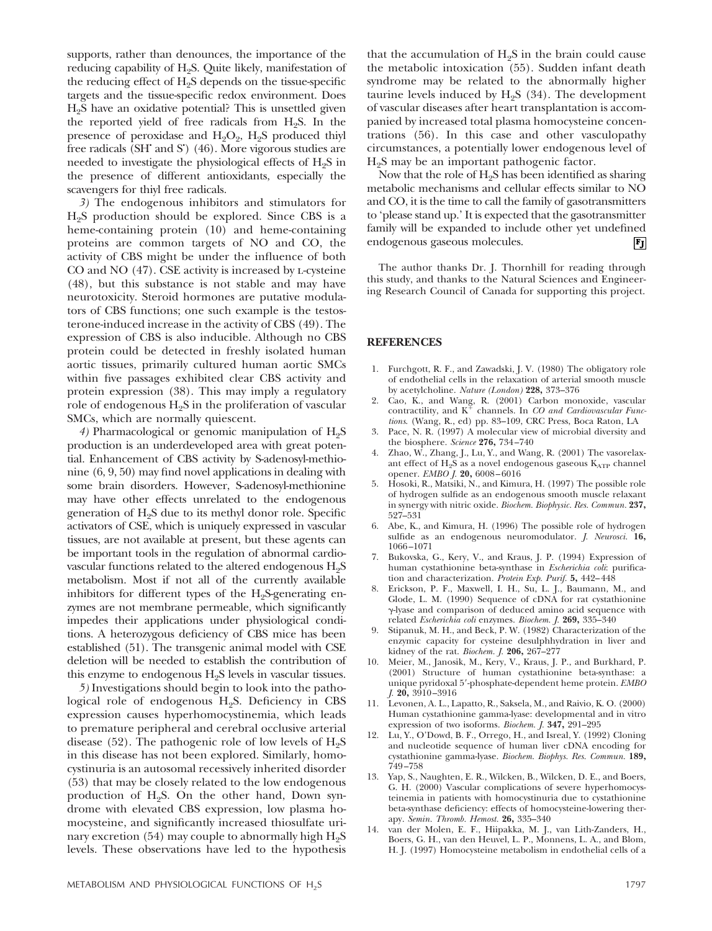supports, rather than denounces, the importance of the reducing capability of H<sub>2</sub>S. Quite likely, manifestation of the reducing effect of  $H<sub>2</sub>S$  depends on the tissue-specific targets and the tissue-specific redox environment. Does H2S have an oxidative potential? This is unsettled given the reported yield of free radicals from  $H<sub>9</sub>S$ . In the presence of peroxidase and  $H_2O_2$ ,  $H_2S$  produced thiyl free radicals (SH<sup> $\cdot$ </sup> and S<sup>'</sup>) (46). More vigorous studies are needed to investigate the physiological effects of  $H_2S$  in the presence of different antioxidants, especially the scavengers for thiyl free radicals.

*3)* The endogenous inhibitors and stimulators for  $H<sub>9</sub>S$  production should be explored. Since CBS is a heme-containing protein (10) and heme-containing proteins are common targets of NO and CO, the activity of CBS might be under the influence of both CO and NO (47). CSE activity is increased by l-cysteine (48), but this substance is not stable and may have neurotoxicity. Steroid hormones are putative modulators of CBS functions; one such example is the testosterone-induced increase in the activity of CBS (49). The expression of CBS is also inducible. Although no CBS protein could be detected in freshly isolated human aortic tissues, primarily cultured human aortic SMCs within five passages exhibited clear CBS activity and protein expression (38). This may imply a regulatory role of endogenous  $H_2S$  in the proliferation of vascular SMCs, which are normally quiescent.

4) Pharmacological or genomic manipulation of  $H_2S$ production is an underdeveloped area with great potential. Enhancement of CBS activity by S-adenosyl-methionine (6, 9, 50) may find novel applications in dealing with some brain disorders. However, S-adenosyl-methionine may have other effects unrelated to the endogenous generation of H2S due to its methyl donor role. Specific activators of CSE, which is uniquely expressed in vascular tissues, are not available at present, but these agents can be important tools in the regulation of abnormal cardiovascular functions related to the altered endogenous  $H_2S$ metabolism. Most if not all of the currently available inhibitors for different types of the  $H<sub>2</sub>S-<sub>5</sub>$  generating enzymes are not membrane permeable, which significantly impedes their applications under physiological conditions. A heterozygous deficiency of CBS mice has been established (51). The transgenic animal model with CSE deletion will be needed to establish the contribution of this enzyme to endogenous  $H<sub>9</sub>S$  levels in vascular tissues.

*5)* Investigations should begin to look into the pathological role of endogenous  $H<sub>9</sub>S$ . Deficiency in CBS expression causes hyperhomocystinemia, which leads to premature peripheral and cerebral occlusive arterial disease (52). The pathogenic role of low levels of  $H_2S$ in this disease has not been explored. Similarly, homocystinuria is an autosomal recessively inherited disorder (53) that may be closely related to the low endogenous production of  $H_2S$ . On the other hand, Down syndrome with elevated CBS expression, low plasma homocysteine, and significantly increased thiosulfate urinary excretion (54) may couple to abnormally high  $H_2S$ levels. These observations have led to the hypothesis

that the accumulation of  $H_2S$  in the brain could cause the metabolic intoxication (55). Sudden infant death syndrome may be related to the abnormally higher taurine levels induced by  $H<sub>9</sub>S$  (34). The development of vascular diseases after heart transplantation is accompanied by increased total plasma homocysteine concentrations (56). In this case and other vasculopathy circumstances, a potentially lower endogenous level of  $H<sub>2</sub>S$  may be an important pathogenic factor.

Now that the role of  $H<sub>2</sub>S$  has been identified as sharing metabolic mechanisms and cellular effects similar to NO and CO, it is the time to call the family of gasotransmitters to 'please stand up.' It is expected that the gasotransmitter family will be expanded to include other yet undefined endogenous gaseous molecules.  $|{\bf F_J}|$ 

The author thanks Dr. J. Thornhill for reading through this study, and thanks to the Natural Sciences and Engineering Research Council of Canada for supporting this project.

## **REFERENCES**

- 1. Furchgott, R. F., and Zawadski, J. V. (1980) The obligatory role of endothelial cells in the relaxation of arterial smooth muscle by acetylcholine. *Nature (London)* **228,** 373–376
- 2. Cao, K., and Wang, R. (2001) Carbon monoxide, vascular contractility, and K<sup>+</sup> channels. In *CO and Cardiovascular Functions*. (Wang, R., ed) pp. 83–109, CRC Press, Boca Raton, LA
- 3. Pace, N. R. (1997) A molecular view of microbial diversity and the biosphere. *Science* **276,** 734–740
- 4. Zhao, W., Zhang, J., Lu, Y., and Wang, R. (2001) The vasorelaxant effect of  $H_2S$  as a novel endogenous gaseous  $K_{ATP}$  channel opener. *EMBO J.* **20,** 6008–6016
- 5. Hosoki, R., Matsiki, N., and Kimura, H. (1997) The possible role of hydrogen sulfide as an endogenous smooth muscle relaxant in synergy with nitric oxide. *Biochem. Biophysic. Res. Commun.* **237,** 527–531
- 6. Abe, K., and Kimura, H. (1996) The possible role of hydrogen sulfide as an endogenous neuromodulator. *J. Neurosci.* **16,** 1066–1071
- 7. Bukovska, G., Kery, V., and Kraus, J. P. (1994) Expression of human cystathionine beta-synthase in *Escherichia coli*: purification and characterization. *Protein Exp. Purif.* **5,** 442–448
- 8. Erickson, P. F., Maxwell, I. H., Su, L. J., Baumann, M., and Glode, L. M. (1990) Sequence of cDNA for rat cystathionine -lyase and comparison of deduced amino acid sequence with related *Escherichia coli* enzymes. *Biochem. J.* **269,** 335–340
- 9. Stipanuk, M. H., and Beck, P. W. (1982) Characterization of the enzymic capacity for cysteine desulphhydration in liver and kidney of the rat. *Biochem. J.* **206,** 267–277
- 10. Meier, M., Janosik, M., Kery, V., Kraus, J. P., and Burkhard, P. (2001) Structure of human cystathionine beta-synthase: a unique pyridoxal 5-phosphate-dependent heme protein. *EMBO J.* **20,** 3910–3916
- 11. Levonen, A. L., Lapatto, R., Saksela, M., and Raivio, K. O. (2000) Human cystathionine gamma-lyase: developmental and in vitro expression of two isoforms. *Biochem. J.* **347,** 291–295
- 12. Lu, Y., O'Dowd, B. F., Orrego, H., and Isreal, Y. (1992) Cloning and nucleotide sequence of human liver cDNA encoding for cystathionine gamma-lyase. *Biochem. Biophys. Res. Commun.* **189,** 749–758
- 13. Yap, S., Naughten, E. R., Wilcken, B., Wilcken, D. E., and Boers, G. H. (2000) Vascular complications of severe hyperhomocysteinemia in patients with homocystinuria due to cystathionine beta-synthase deficiency: effects of homocysteine-lowering therapy. *Semin. Thromb. Hemost.* **26,** 335–340
- 14. van der Molen, E. F., Hiipakka, M. J., van Lith-Zanders, H., Boers, G. H., van den Heuvel, L. P., Monnens, L. A., and Blom, H. J. (1997) Homocysteine metabolism in endothelial cells of a